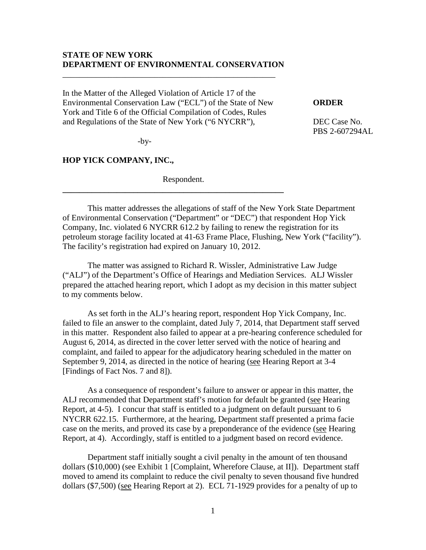### **STATE OF NEW YORK DEPARTMENT OF ENVIRONMENTAL CONSERVATION**

In the Matter of the Alleged Violation of Article 17 of the Environmental Conservation Law ("ECL") of the State of New **ORDER** York and Title 6 of the Official Compilation of Codes, Rules and Regulations of the State of New York ("6 NYCRR"), DEC Case No.

\_\_\_\_\_\_\_\_\_\_\_\_\_\_\_\_\_\_\_\_\_\_\_\_\_\_\_\_\_\_\_\_\_\_\_\_\_\_\_\_\_\_\_\_\_\_\_\_\_\_\_

PBS 2-607294AL

 $-by-$ 

### **HOP YICK COMPANY, INC.,**

Respondent.

**\_\_\_\_\_\_\_\_\_\_\_\_\_\_\_\_\_\_\_\_\_\_\_\_\_\_\_\_\_\_\_\_\_\_\_\_\_\_\_\_\_\_\_\_\_\_\_\_\_\_\_\_\_**

This matter addresses the allegations of staff of the New York State Department of Environmental Conservation ("Department" or "DEC") that respondent Hop Yick Company, Inc. violated 6 NYCRR 612.2 by failing to renew the registration for its petroleum storage facility located at 41-63 Frame Place, Flushing, New York ("facility"). The facility's registration had expired on January 10, 2012.

The matter was assigned to Richard R. Wissler, Administrative Law Judge ("ALJ") of the Department's Office of Hearings and Mediation Services. ALJ Wissler prepared the attached hearing report, which I adopt as my decision in this matter subject to my comments below.

As set forth in the ALJ's hearing report, respondent Hop Yick Company, Inc. failed to file an answer to the complaint, dated July 7, 2014, that Department staff served in this matter. Respondent also failed to appear at a pre-hearing conference scheduled for August 6, 2014, as directed in the cover letter served with the notice of hearing and complaint, and failed to appear for the adjudicatory hearing scheduled in the matter on September 9, 2014, as directed in the notice of hearing (see Hearing Report at 3-4 [Findings of Fact Nos. 7 and 8]).

As a consequence of respondent's failure to answer or appear in this matter, the ALJ recommended that Department staff's motion for default be granted (see Hearing Report, at 4-5). I concur that staff is entitled to a judgment on default pursuant to 6 NYCRR 622.15. Furthermore, at the hearing, Department staff presented a prima facie case on the merits, and proved its case by a preponderance of the evidence (see Hearing Report, at 4). Accordingly, staff is entitled to a judgment based on record evidence.

Department staff initially sought a civil penalty in the amount of ten thousand dollars (\$10,000) (see Exhibit 1 [Complaint, Wherefore Clause, at II]). Department staff moved to amend its complaint to reduce the civil penalty to seven thousand five hundred dollars (\$7,500) (see Hearing Report at 2). ECL 71-1929 provides for a penalty of up to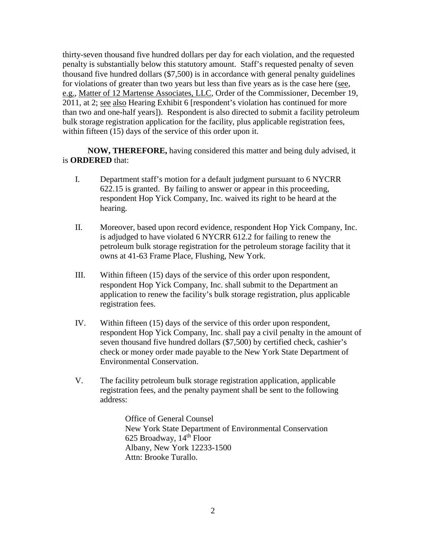thirty-seven thousand five hundred dollars per day for each violation, and the requested penalty is substantially below this statutory amount. Staff's requested penalty of seven thousand five hundred dollars (\$7,500) is in accordance with general penalty guidelines for violations of greater than two years but less than five years as is the case here (see, e.g., Matter of 12 Martense Associates, LLC, Order of the Commissioner, December 19, 2011, at 2; see also Hearing Exhibit 6 [respondent's violation has continued for more than two and one-half years]). Respondent is also directed to submit a facility petroleum bulk storage registration application for the facility, plus applicable registration fees, within fifteen (15) days of the service of this order upon it.

**NOW, THEREFORE,** having considered this matter and being duly advised, it is **ORDERED** that:

- I. Department staff's motion for a default judgment pursuant to 6 NYCRR 622.15 is granted. By failing to answer or appear in this proceeding, respondent Hop Yick Company, Inc. waived its right to be heard at the hearing.
- II. Moreover, based upon record evidence, respondent Hop Yick Company, Inc. is adjudged to have violated 6 NYCRR 612.2 for failing to renew the petroleum bulk storage registration for the petroleum storage facility that it owns at 41-63 Frame Place, Flushing, New York.
- III. Within fifteen (15) days of the service of this order upon respondent, respondent Hop Yick Company, Inc. shall submit to the Department an application to renew the facility's bulk storage registration, plus applicable registration fees.
- IV. Within fifteen (15) days of the service of this order upon respondent, respondent Hop Yick Company, Inc. shall pay a civil penalty in the amount of seven thousand five hundred dollars (\$7,500) by certified check, cashier's check or money order made payable to the New York State Department of Environmental Conservation.
- V. The facility petroleum bulk storage registration application, applicable registration fees, and the penalty payment shall be sent to the following address:

Office of General Counsel New York State Department of Environmental Conservation 625 Broadway, 14th Floor Albany, New York 12233-1500 Attn: Brooke Turallo.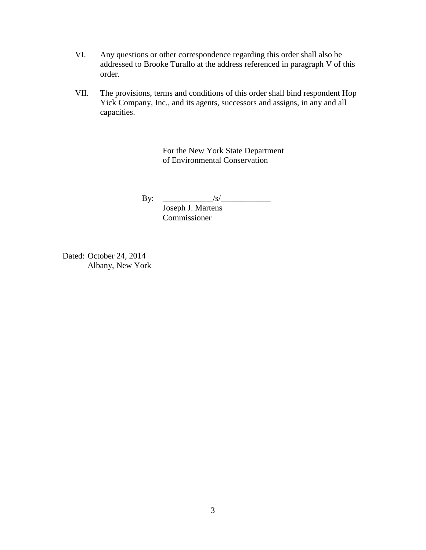- VI. Any questions or other correspondence regarding this order shall also be addressed to Brooke Turallo at the address referenced in paragraph V of this order.
- VII. The provisions, terms and conditions of this order shall bind respondent Hop Yick Company, Inc., and its agents, successors and assigns, in any and all capacities.

For the New York State Department of Environmental Conservation

By:  $|S\rangle$ Joseph J. Martens

Commissioner

Dated: October 24, 2014 Albany, New York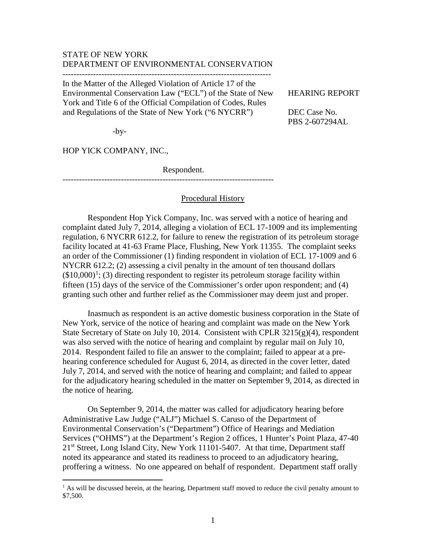# STATE OF NEW YORK DEPARTMENT OF ENVIRONMENTAL CONSERVATION

---------------------------------------------------------------------------

In the Matter of the Alleged Violation of Article 17 of the Environmental Conservation Law ("ECL") of the State of New HEARING REPORT York and Title 6 of the Official Compilation of Codes, Rules and Regulations of the State of New York ("6 NYCRR") DEC Case No.

PBS 2-607294AL

-by-

HOP YICK COMPANY, INC.,

 $\overline{a}$ 

Respondent.

----------------------------------------------------------------------------

### Procedural History

Respondent Hop Yick Company, Inc. was served with a notice of hearing and complaint dated July 7, 2014, alleging a violation of ECL 17-1009 and its implementing regulation, 6 NYCRR 612.2, for failure to renew the registration of its petroleum storage facility located at 41-63 Frame Place, Flushing, New York 11355. The complaint seeks an order of the Commissioner (1) finding respondent in violation of ECL 17-1009 and 6 NYCRR 612.2; (2) assessing a civil penalty in the amount of ten thousand dollars  $($10,000)<sup>1</sup>$  $($10,000)<sup>1</sup>$  $($10,000)<sup>1</sup>$ ; (3) directing respondent to register its petroleum storage facility within fifteen (15) days of the service of the Commissioner's order upon respondent; and (4) granting such other and further relief as the Commissioner may deem just and proper.

Inasmuch as respondent is an active domestic business corporation in the State of New York, service of the notice of hearing and complaint was made on the New York State Secretary of State on July 10, 2014. Consistent with CPLR 3215(g)(4), respondent was also served with the notice of hearing and complaint by regular mail on July 10, 2014. Respondent failed to file an answer to the complaint; failed to appear at a prehearing conference scheduled for August 6, 2014, as directed in the cover letter, dated July 7, 2014, and served with the notice of hearing and complaint; and failed to appear for the adjudicatory hearing scheduled in the matter on September 9, 2014, as directed in the notice of hearing.

On September 9, 2014, the matter was called for adjudicatory hearing before Administrative Law Judge ("ALJ") Michael S. Caruso of the Department of Environmental Conservation's ("Department") Office of Hearings and Mediation Services ("OHMS") at the Department's Region 2 offices, 1 Hunter's Point Plaza, 47-40 21<sup>st</sup> Street, Long Island City, New York 11101-5407. At that time, Department staff noted its appearance and stated its readiness to proceed to an adjudicatory hearing, proffering a witness. No one appeared on behalf of respondent. Department staff orally

<span id="page-3-0"></span> $<sup>1</sup>$  As will be discussed herein, at the hearing, Department staff moved to reduce the civil penalty amount to</sup> \$7,500.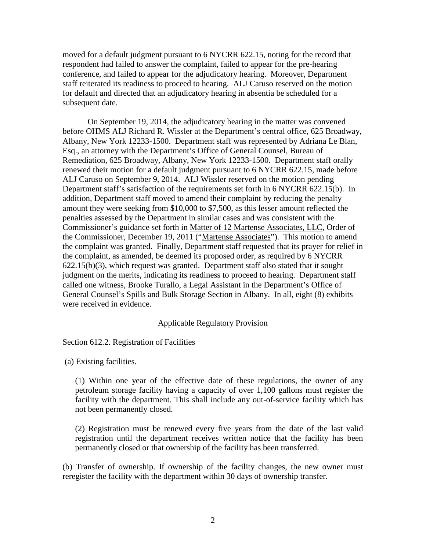moved for a default judgment pursuant to 6 NYCRR 622.15, noting for the record that respondent had failed to answer the complaint, failed to appear for the pre-hearing conference, and failed to appear for the adjudicatory hearing. Moreover, Department staff reiterated its readiness to proceed to hearing. ALJ Caruso reserved on the motion for default and directed that an adjudicatory hearing in absentia be scheduled for a subsequent date.

On September 19, 2014, the adjudicatory hearing in the matter was convened before OHMS ALJ Richard R. Wissler at the Department's central office, 625 Broadway, Albany, New York 12233-1500. Department staff was represented by Adriana Le Blan, Esq., an attorney with the Department's Office of General Counsel, Bureau of Remediation, 625 Broadway, Albany, New York 12233-1500. Department staff orally renewed their motion for a default judgment pursuant to 6 NYCRR 622.15, made before ALJ Caruso on September 9, 2014. ALJ Wissler reserved on the motion pending Department staff's satisfaction of the requirements set forth in 6 NYCRR 622.15(b). In addition, Department staff moved to amend their complaint by reducing the penalty amount they were seeking from \$10,000 to \$7,500, as this lesser amount reflected the penalties assessed by the Department in similar cases and was consistent with the Commissioner's guidance set forth in Matter of 12 Martense Associates, LLC, Order of the Commissioner, December 19, 2011 ("Martense Associates"). This motion to amend the complaint was granted. Finally, Department staff requested that its prayer for relief in the complaint, as amended, be deemed its proposed order, as required by 6 NYCRR 622.15(b)(3), which request was granted. Department staff also stated that it sought judgment on the merits, indicating its readiness to proceed to hearing. Department staff called one witness, Brooke Turallo, a Legal Assistant in the Department's Office of General Counsel's Spills and Bulk Storage Section in Albany. In all, eight (8) exhibits were received in evidence.

#### Applicable Regulatory Provision

Section 612.2. Registration of Facilities

(a) Existing facilities.

(1) Within one year of the effective date of these regulations, the owner of any petroleum storage facility having a capacity of over 1,100 gallons must register the facility with the department. This shall include any out-of-service facility which has not been permanently closed.

(2) Registration must be renewed every five years from the date of the last valid registration until the department receives written notice that the facility has been permanently closed or that ownership of the facility has been transferred.

(b) Transfer of ownership. If ownership of the facility changes, the new owner must reregister the facility with the department within 30 days of ownership transfer.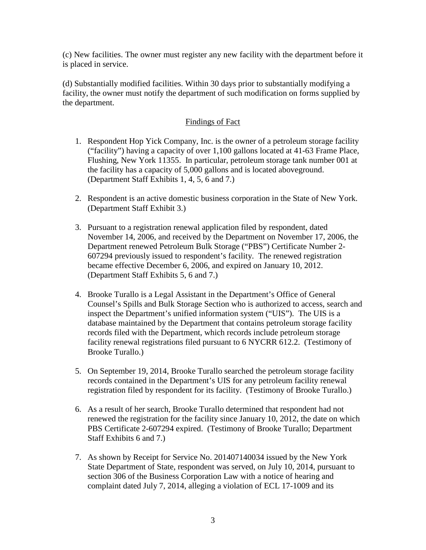(c) New facilities. The owner must register any new facility with the department before it is placed in service.

(d) Substantially modified facilities. Within 30 days prior to substantially modifying a facility, the owner must notify the department of such modification on forms supplied by the department.

# Findings of Fact

- 1. Respondent Hop Yick Company, Inc. is the owner of a petroleum storage facility ("facility") having a capacity of over 1,100 gallons located at 41-63 Frame Place, Flushing, New York 11355. In particular, petroleum storage tank number 001 at the facility has a capacity of 5,000 gallons and is located aboveground. (Department Staff Exhibits 1, 4, 5, 6 and 7.)
- 2. Respondent is an active domestic business corporation in the State of New York. (Department Staff Exhibit 3.)
- 3. Pursuant to a registration renewal application filed by respondent, dated November 14, 2006, and received by the Department on November 17, 2006, the Department renewed Petroleum Bulk Storage ("PBS") Certificate Number 2- 607294 previously issued to respondent's facility. The renewed registration became effective December 6, 2006, and expired on January 10, 2012. (Department Staff Exhibits 5, 6 and 7.)
- 4. Brooke Turallo is a Legal Assistant in the Department's Office of General Counsel's Spills and Bulk Storage Section who is authorized to access, search and inspect the Department's unified information system ("UIS"). The UIS is a database maintained by the Department that contains petroleum storage facility records filed with the Department, which records include petroleum storage facility renewal registrations filed pursuant to 6 NYCRR 612.2. (Testimony of Brooke Turallo.)
- 5. On September 19, 2014, Brooke Turallo searched the petroleum storage facility records contained in the Department's UIS for any petroleum facility renewal registration filed by respondent for its facility. (Testimony of Brooke Turallo.)
- 6. As a result of her search, Brooke Turallo determined that respondent had not renewed the registration for the facility since January 10, 2012, the date on which PBS Certificate 2-607294 expired. (Testimony of Brooke Turallo; Department Staff Exhibits 6 and 7.)
- 7. As shown by Receipt for Service No. 201407140034 issued by the New York State Department of State, respondent was served, on July 10, 2014, pursuant to section 306 of the Business Corporation Law with a notice of hearing and complaint dated July 7, 2014, alleging a violation of ECL 17-1009 and its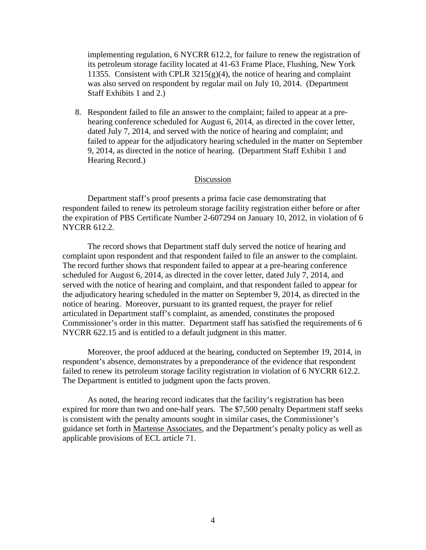implementing regulation, 6 NYCRR 612.2, for failure to renew the registration of its petroleum storage facility located at 41-63 Frame Place, Flushing, New York 11355. Consistent with CPLR  $3215(g)(4)$ , the notice of hearing and complaint was also served on respondent by regular mail on July 10, 2014. (Department Staff Exhibits 1 and 2.)

8. Respondent failed to file an answer to the complaint; failed to appear at a prehearing conference scheduled for August 6, 2014, as directed in the cover letter, dated July 7, 2014, and served with the notice of hearing and complaint; and failed to appear for the adjudicatory hearing scheduled in the matter on September 9, 2014, as directed in the notice of hearing. (Department Staff Exhibit 1 and Hearing Record.)

#### Discussion

Department staff's proof presents a prima facie case demonstrating that respondent failed to renew its petroleum storage facility registration either before or after the expiration of PBS Certificate Number 2-607294 on January 10, 2012, in violation of 6 NYCRR 612.2.

The record shows that Department staff duly served the notice of hearing and complaint upon respondent and that respondent failed to file an answer to the complaint. The record further shows that respondent failed to appear at a pre-hearing conference scheduled for August 6, 2014, as directed in the cover letter, dated July 7, 2014, and served with the notice of hearing and complaint, and that respondent failed to appear for the adjudicatory hearing scheduled in the matter on September 9, 2014, as directed in the notice of hearing. Moreover, pursuant to its granted request, the prayer for relief articulated in Department staff's complaint, as amended, constitutes the proposed Commissioner's order in this matter. Department staff has satisfied the requirements of 6 NYCRR 622.15 and is entitled to a default judgment in this matter.

Moreover, the proof adduced at the hearing, conducted on September 19, 2014, in respondent's absence, demonstrates by a preponderance of the evidence that respondent failed to renew its petroleum storage facility registration in violation of 6 NYCRR 612.2. The Department is entitled to judgment upon the facts proven.

As noted, the hearing record indicates that the facility's registration has been expired for more than two and one-half years. The \$7,500 penalty Department staff seeks is consistent with the penalty amounts sought in similar cases, the Commissioner's guidance set forth in Martense Associates, and the Department's penalty policy as well as applicable provisions of ECL article 71.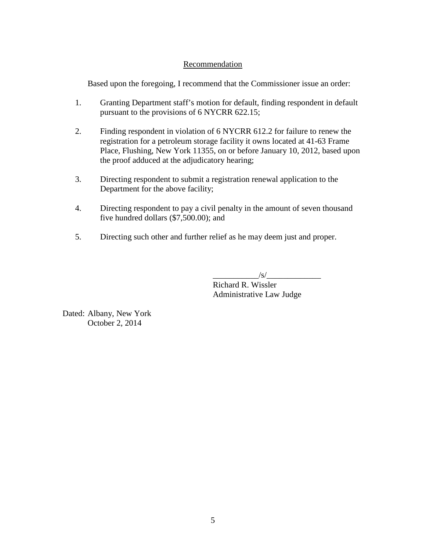## Recommendation

Based upon the foregoing, I recommend that the Commissioner issue an order:

- 1. Granting Department staff's motion for default, finding respondent in default pursuant to the provisions of 6 NYCRR 622.15;
- 2. Finding respondent in violation of 6 NYCRR 612.2 for failure to renew the registration for a petroleum storage facility it owns located at 41-63 Frame Place, Flushing, New York 11355, on or before January 10, 2012, based upon the proof adduced at the adjudicatory hearing;
- 3. Directing respondent to submit a registration renewal application to the Department for the above facility;
- 4. Directing respondent to pay a civil penalty in the amount of seven thousand five hundred dollars (\$7,500.00); and
- 5. Directing such other and further relief as he may deem just and proper.

 $\sqrt{s}/\sqrt{s}$ Richard R. Wissler

Administrative Law Judge

Dated: Albany, New York October 2, 2014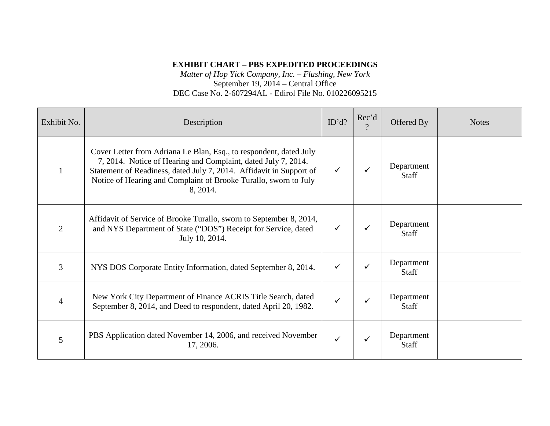# **EXHIBIT CHART – PBS EXPEDITED PROCEEDINGS**

*Matter of Hop Yick Company, Inc. – Flushing, New York* September 19, 2014 – Central Office DEC Case No. 2-607294AL - Edirol File No. 010226095215

| Exhibit No.    | Description                                                                                                                                                                                                                                                                                | ID'd? | Rec'd<br>$\Omega$ | Offered By                 | <b>Notes</b> |
|----------------|--------------------------------------------------------------------------------------------------------------------------------------------------------------------------------------------------------------------------------------------------------------------------------------------|-------|-------------------|----------------------------|--------------|
|                | Cover Letter from Adriana Le Blan, Esq., to respondent, dated July<br>7, 2014. Notice of Hearing and Complaint, dated July 7, 2014.<br>Statement of Readiness, dated July 7, 2014. Affidavit in Support of<br>Notice of Hearing and Complaint of Brooke Turallo, sworn to July<br>8, 2014. | ✓     |                   | Department<br>Staff        |              |
| $\overline{2}$ | Affidavit of Service of Brooke Turallo, sworn to September 8, 2014,<br>and NYS Department of State ("DOS") Receipt for Service, dated<br>July 10, 2014.                                                                                                                                    | ✓     |                   | Department<br><b>Staff</b> |              |
| 3              | NYS DOS Corporate Entity Information, dated September 8, 2014.                                                                                                                                                                                                                             | ✓     |                   | Department<br>Staff        |              |
| 4              | New York City Department of Finance ACRIS Title Search, dated<br>September 8, 2014, and Deed to respondent, dated April 20, 1982.                                                                                                                                                          | ✓     |                   | Department<br><b>Staff</b> |              |
| 5              | PBS Application dated November 14, 2006, and received November<br>17, 2006.                                                                                                                                                                                                                | ✓     |                   | Department<br><b>Staff</b> |              |